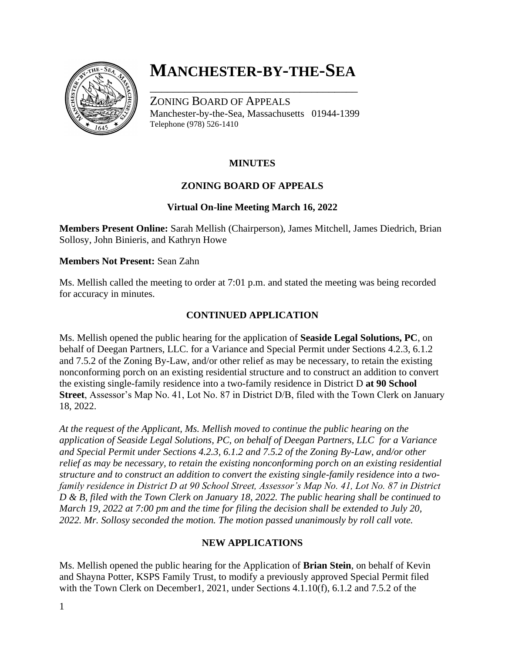

# **MANCHESTER-BY-THE-SEA**

\_\_\_\_\_\_\_\_\_\_\_\_\_\_\_\_\_\_\_\_\_\_\_\_\_\_\_\_\_\_\_\_\_\_\_\_

ZONING BOARD OF APPEALS Manchester-by-the-Sea, Massachusetts 01944-1399 Telephone (978) 526-1410

# **MINUTES**

## **ZONING BOARD OF APPEALS**

## **Virtual On-line Meeting March 16, 2022**

**Members Present Online:** Sarah Mellish (Chairperson), James Mitchell, James Diedrich, Brian Sollosy, John Binieris, and Kathryn Howe

#### **Members Not Present:** Sean Zahn

Ms. Mellish called the meeting to order at 7:01 p.m. and stated the meeting was being recorded for accuracy in minutes.

# **CONTINUED APPLICATION**

Ms. Mellish opened the public hearing for the application of **Seaside Legal Solutions, PC**, on behalf of Deegan Partners, LLC. for a Variance and Special Permit under Sections 4.2.3, 6.1.2 and 7.5.2 of the Zoning By-Law, and/or other relief as may be necessary, to retain the existing nonconforming porch on an existing residential structure and to construct an addition to convert the existing single-family residence into a two-family residence in District D **at 90 School Street**, Assessor's Map No. 41, Lot No. 87 in District D/B, filed with the Town Clerk on January 18, 2022.

*At the request of the Applicant, Ms. Mellish moved to continue the public hearing on the application of Seaside Legal Solutions, PC, on behalf of Deegan Partners, LLC for a Variance and Special Permit under Sections 4.2.3, 6.1.2 and 7.5.2 of the Zoning By-Law, and/or other relief as may be necessary, to retain the existing nonconforming porch on an existing residential structure and to construct an addition to convert the existing single-family residence into a twofamily residence in District D at 90 School Street, Assessor's Map No. 41, Lot No. 87 in District D & B, filed with the Town Clerk on January 18, 2022. The public hearing shall be continued to March 19, 2022 at 7:00 pm and the time for filing the decision shall be extended to July 20, 2022. Mr. Sollosy seconded the motion. The motion passed unanimously by roll call vote.*

## **NEW APPLICATIONS**

Ms. Mellish opened the public hearing for the Application of **Brian Stein**, on behalf of Kevin and Shayna Potter, KSPS Family Trust, to modify a previously approved Special Permit filed with the Town Clerk on December1, 2021, under Sections 4.1.10(f), 6.1.2 and 7.5.2 of the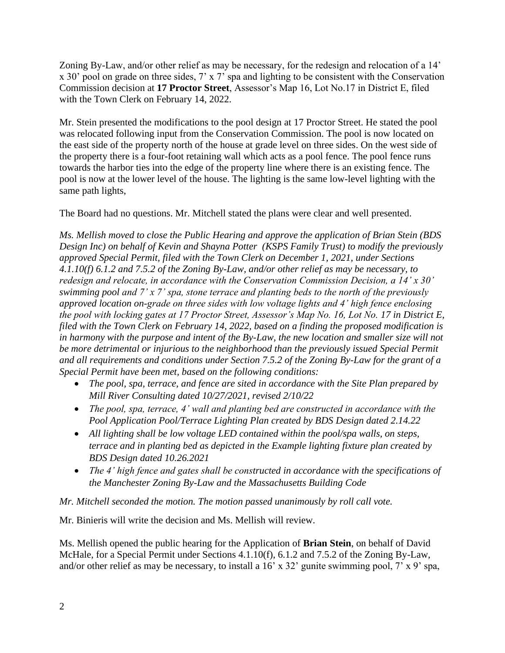Zoning By-Law, and/or other relief as may be necessary, for the redesign and relocation of a 14' x 30' pool on grade on three sides, 7' x 7' spa and lighting to be consistent with the Conservation Commission decision at **17 Proctor Street**, Assessor's Map 16, Lot No.17 in District E, filed with the Town Clerk on February 14, 2022.

Mr. Stein presented the modifications to the pool design at 17 Proctor Street. He stated the pool was relocated following input from the Conservation Commission. The pool is now located on the east side of the property north of the house at grade level on three sides. On the west side of the property there is a four-foot retaining wall which acts as a pool fence. The pool fence runs towards the harbor ties into the edge of the property line where there is an existing fence. The pool is now at the lower level of the house. The lighting is the same low-level lighting with the same path lights,

The Board had no questions. Mr. Mitchell stated the plans were clear and well presented.

*Ms. Mellish moved to close the Public Hearing and approve the application of Brian Stein (BDS Design Inc) on behalf of Kevin and Shayna Potter (KSPS Family Trust) to modify the previously approved Special Permit, filed with the Town Clerk on December 1, 2021, under Sections 4.1.10(f) 6.1.2 and 7.5.2 of the Zoning By-Law, and/or other relief as may be necessary, to redesign and relocate, in accordance with the Conservation Commission Decision, a 14' x 30' swimming pool and 7' x 7' spa, stone terrace and planting beds to the north of the previously approved location on-grade on three sides with low voltage lights and 4' high fence enclosing the pool with locking gates at 17 Proctor Street, Assessor's Map No. 16, Lot No. 17 in District E, filed with the Town Clerk on February 14, 2022, based on a finding the proposed modification is in harmony with the purpose and intent of the By-Law, the new location and smaller size will not be more detrimental or injurious to the neighborhood than the previously issued Special Permit and all requirements and conditions under Section 7.5.2 of the Zoning By-Law for the grant of a Special Permit have been met, based on the following conditions:*

- *The pool, spa, terrace, and fence are sited in accordance with the Site Plan prepared by Mill River Consulting dated 10/27/2021, revised 2/10/22*
- *The pool, spa, terrace, 4' wall and planting bed are constructed in accordance with the Pool Application Pool/Terrace Lighting Plan created by BDS Design dated 2.14.22*
- All lighting shall be low voltage LED contained within the pool/spa walls, on steps, *terrace and in planting bed as depicted in the Example lighting fixture plan created by BDS Design dated 10.26.2021*
- *The 4' high fence and gates shall be constructed in accordance with the specifications of the Manchester Zoning By-Law and the Massachusetts Building Code*

*Mr. Mitchell seconded the motion. The motion passed unanimously by roll call vote.*

Mr. Binieris will write the decision and Ms. Mellish will review.

Ms. Mellish opened the public hearing for the Application of **Brian Stein**, on behalf of David McHale, for a Special Permit under Sections 4.1.10(f), 6.1.2 and 7.5.2 of the Zoning By-Law, and/or other relief as may be necessary, to install a 16' x 32' gunite swimming pool, 7' x 9' spa,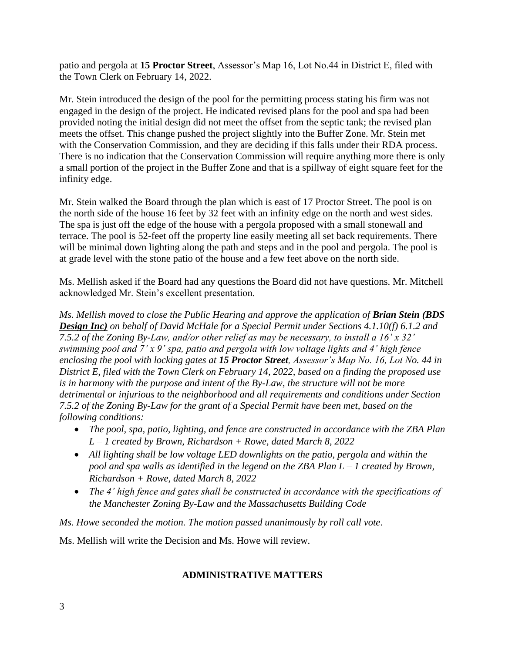patio and pergola at **15 Proctor Street**, Assessor's Map 16, Lot No.44 in District E, filed with the Town Clerk on February 14, 2022.

Mr. Stein introduced the design of the pool for the permitting process stating his firm was not engaged in the design of the project. He indicated revised plans for the pool and spa had been provided noting the initial design did not meet the offset from the septic tank; the revised plan meets the offset. This change pushed the project slightly into the Buffer Zone. Mr. Stein met with the Conservation Commission, and they are deciding if this falls under their RDA process. There is no indication that the Conservation Commission will require anything more there is only a small portion of the project in the Buffer Zone and that is a spillway of eight square feet for the infinity edge.

Mr. Stein walked the Board through the plan which is east of 17 Proctor Street. The pool is on the north side of the house 16 feet by 32 feet with an infinity edge on the north and west sides. The spa is just off the edge of the house with a pergola proposed with a small stonewall and terrace. The pool is 52-feet off the property line easily meeting all set back requirements. There will be minimal down lighting along the path and steps and in the pool and pergola. The pool is at grade level with the stone patio of the house and a few feet above on the north side.

Ms. Mellish asked if the Board had any questions the Board did not have questions. Mr. Mitchell acknowledged Mr. Stein's excellent presentation.

*Ms. Mellish moved to close the Public Hearing and approve the application of Brian Stein (BDS Design Inc) on behalf of David McHale for a Special Permit under Sections 4.1.10(f) 6.1.2 and 7.5.2 of the Zoning By-Law, and/or other relief as may be necessary, to install a 16' x 32' swimming pool and 7' x 9' spa, patio and pergola with low voltage lights and 4' high fence enclosing the pool with locking gates at 15 Proctor Street, Assessor's Map No. 16, Lot No. 44 in District E, filed with the Town Clerk on February 14, 2022, based on a finding the proposed use is in harmony with the purpose and intent of the By-Law, the structure will not be more detrimental or injurious to the neighborhood and all requirements and conditions under Section 7.5.2 of the Zoning By-Law for the grant of a Special Permit have been met, based on the following conditions:*

- *The pool, spa, patio, lighting, and fence are constructed in accordance with the ZBA Plan L – 1 created by Brown, Richardson + Rowe, dated March 8, 2022*
- *All lighting shall be low voltage LED downlights on the patio, pergola and within the pool and spa walls as identified in the legend on the ZBA Plan L – 1 created by Brown, Richardson + Rowe, dated March 8, 2022*
- *The 4' high fence and gates shall be constructed in accordance with the specifications of the Manchester Zoning By-Law and the Massachusetts Building Code*

*Ms. Howe seconded the motion. The motion passed unanimously by roll call vote*.

Ms. Mellish will write the Decision and Ms. Howe will review.

## **ADMINISTRATIVE MATTERS**